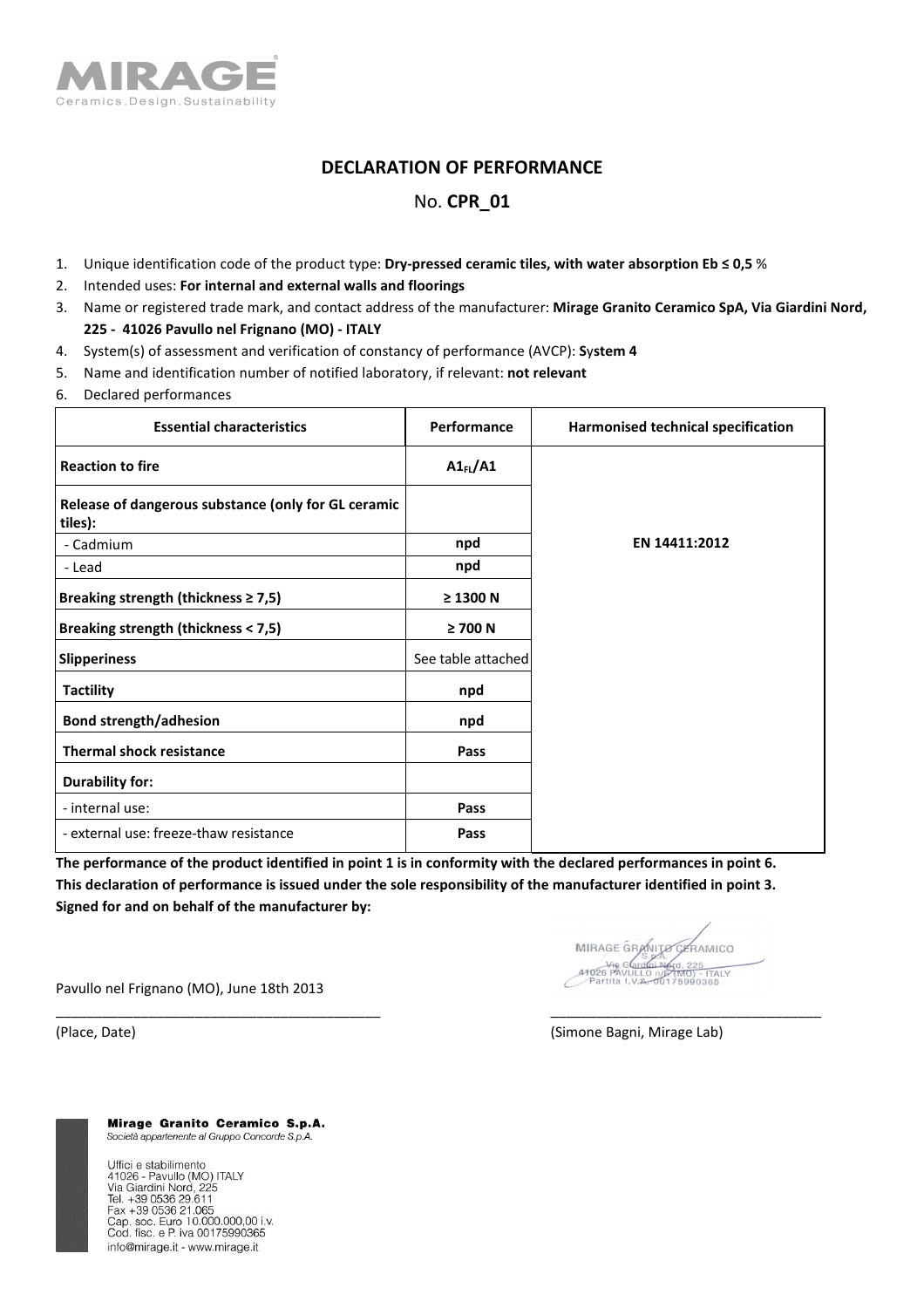

## **DECLARATION OF PERFORMANCE**

## No. **CPR\_01**

- 1. Unique identification code of the product type: **Dry-pressed ceramic tiles, with water absorption Eb ≤ 0,5** %
- 2. Intended uses: **For internal and external walls and floorings**
- 3. Name or registered trade mark, and contact address of the manufacturer: **Mirage Granito Ceramico SpA, Via Giardini Nord, 225 - 41026 Pavullo nel Frignano (MO) - ITALY**
- 4. System(s) of assessment and verification of constancy of performance (AVCP): **S**y**stem 4**
- 5. Name and identification number of notified laboratory, if relevant: **not relevant**
- 6. Declared performances

| <b>Essential characteristics</b>                               | Performance        | Harmonised technical specification |
|----------------------------------------------------------------|--------------------|------------------------------------|
| <b>Reaction to fire</b>                                        | $AI_{FL}/AI$       |                                    |
| Release of dangerous substance (only for GL ceramic<br>tiles): |                    |                                    |
| - Cadmium                                                      | npd                | EN 14411:2012                      |
| - Lead                                                         | npd                |                                    |
| Breaking strength (thickness $\geq 7.5$ )                      | $\geq$ 1300 N      |                                    |
| Breaking strength (thickness < 7,5)                            | $\geq 700$ N       |                                    |
| <b>Slipperiness</b>                                            | See table attached |                                    |
| <b>Tactility</b>                                               | npd                |                                    |
| <b>Bond strength/adhesion</b>                                  | npd                |                                    |
| <b>Thermal shock resistance</b>                                | Pass               |                                    |
| <b>Durability for:</b>                                         |                    |                                    |
| - internal use:                                                | Pass               |                                    |
| - external use: freeze-thaw resistance                         | Pass               |                                    |

**The performance of the product identified in point 1 is in conformity with the declared performances in point 6. This declaration of performance is issued under the sole responsibility of the manufacturer identified in point 3. Signed for and on behalf of the manufacturer by:** 

\_\_\_\_\_\_\_\_\_\_\_\_\_\_\_\_\_\_\_\_\_\_\_\_\_\_\_\_\_\_\_\_\_\_\_\_\_\_\_\_\_\_ \_\_\_\_\_\_\_\_\_\_\_\_\_\_\_\_\_\_\_\_\_\_\_\_\_\_\_\_\_\_\_\_\_\_\_

MIRAGE GRANITO CARAMI FRAMICO **TALY** 

Pavullo nel Frignano (MO), June 18th 2013

(Place, Date) (Simone Bagni, Mirage Lab)

Mirage Granito Ceramico S.p.A. Società appartenente al Gruppo Concorde S.p.A.

Uffici e stabilimento 41026 - Pavullo (MO) ITALY<br>Via Giardini Nord, 225 Tel. +39 0536 29.611 Fax +39 0536 21.065<br>Cap. soc. Euro 10.000.000,00 i.v. Cod. fisc. e P. iva 00175990365 info@mirage.it - www.mirage.it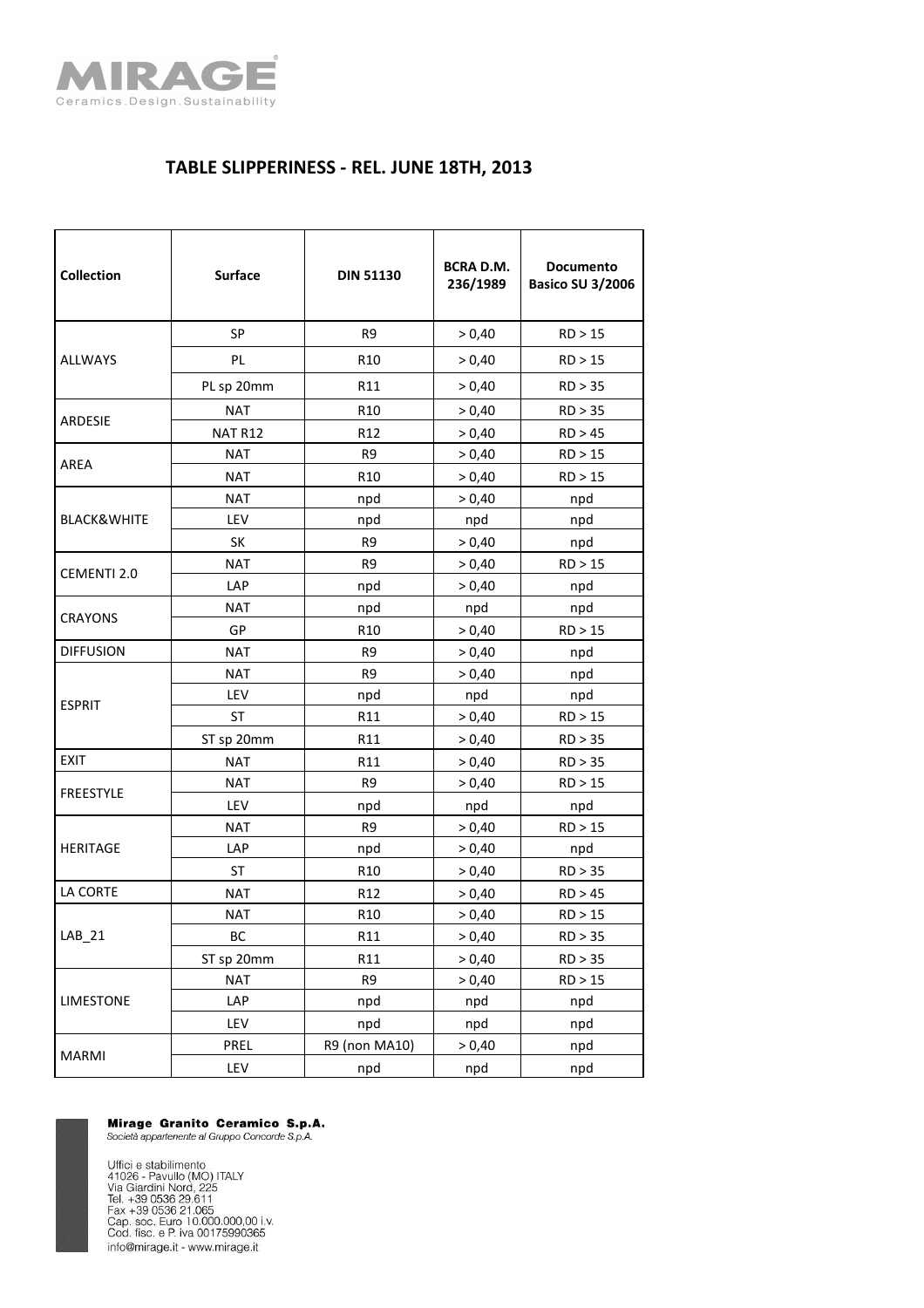

## **TABLE SLIPPERINESS - REL. JUNE 18TH, 2013**

| <b>Collection</b>      | <b>Surface</b> | <b>DIN 51130</b> | <b>BCRA D.M.</b><br>236/1989 | <b>Documento</b><br><b>Basico SU 3/2006</b> |
|------------------------|----------------|------------------|------------------------------|---------------------------------------------|
|                        | <b>SP</b>      | R <sub>9</sub>   | > 0,40                       | RD > 15                                     |
| <b>ALLWAYS</b>         | PL             | R <sub>10</sub>  | > 0,40                       | RD > 15                                     |
|                        | PL sp 20mm     | R11              | > 0,40                       | RD > 35                                     |
| <b>ARDESIE</b>         | <b>NAT</b>     | R <sub>10</sub>  | > 0,40                       | RD > 35                                     |
|                        | NAT R12        | R12              | > 0,40                       | RD > 45                                     |
| AREA                   | <b>NAT</b>     | R <sub>9</sub>   | > 0,40                       | RD > 15                                     |
|                        | <b>NAT</b>     | R <sub>10</sub>  | > 0,40                       | RD > 15                                     |
|                        | <b>NAT</b>     | npd              | > 0,40                       | npd                                         |
| <b>BLACK&amp;WHITE</b> | LEV            | npd              | npd                          | npd                                         |
|                        | SK             | R <sub>9</sub>   | > 0,40                       | npd                                         |
|                        | <b>NAT</b>     | R <sub>9</sub>   | > 0,40                       | RD > 15                                     |
| <b>CEMENTI 2.0</b>     | LAP            | npd              | > 0,40                       | npd                                         |
| <b>CRAYONS</b>         | <b>NAT</b>     | npd              | npd                          | npd                                         |
|                        | GP             | R <sub>10</sub>  | > 0,40                       | RD > 15                                     |
| <b>DIFFUSION</b>       | <b>NAT</b>     | R <sub>9</sub>   | > 0,40                       | npd                                         |
|                        | <b>NAT</b>     | R <sub>9</sub>   | > 0,40                       | npd                                         |
| <b>ESPRIT</b>          | LEV            | npd              | npd                          | npd                                         |
|                        | <b>ST</b>      | R11              | > 0,40                       | RD > 15                                     |
|                        | ST sp 20mm     | R11              | > 0,40                       | RD > 35                                     |
| <b>EXIT</b>            | <b>NAT</b>     | R11              | > 0,40                       | RD > 35                                     |
| <b>FREESTYLE</b>       | NAT            | R <sub>9</sub>   | > 0,40                       | RD > 15                                     |
|                        | <b>LEV</b>     | npd              | npd                          | npd                                         |
| <b>HERITAGE</b>        | <b>NAT</b>     | R <sub>9</sub>   | > 0,40                       | RD > 15                                     |
|                        | LAP            | npd              | > 0,40                       | npd                                         |
|                        | ST             | R <sub>10</sub>  | > 0,40                       | RD > 35                                     |
| LA CORTE               | <b>NAT</b>     | R <sub>12</sub>  | > 0,40                       | RD > 45                                     |
| LAB 21                 | <b>NAT</b>     | R <sub>10</sub>  | > 0,40                       | RD > 15                                     |
|                        | BC             | R11              | > 0,40                       | RD > 35                                     |
|                        | ST sp 20mm     | R11              | > 0,40                       | RD > 35                                     |
| <b>LIMESTONE</b>       | <b>NAT</b>     | R9               | > 0,40                       | RD > 15                                     |
|                        | LAP            | npd              | npd                          | npd                                         |
|                        | LEV            | npd              | npd                          | npd                                         |
| <b>MARMI</b>           | PREL           | R9 (non MA10)    | > 0,40                       | npd                                         |
|                        | LEV            | npd              | npd                          | npd                                         |

**Mirage Granito Ceramico S.p.A.**<br>Società appartenente al Gruppo Concorde S.p.A.

Uffici e stabilimento<br>41026 - Pavullo (MO) ITALY<br>Via Giardini Nord, 225<br>Tel. +39 0536 29.611<br>Cax +39 0536 21.065<br>Cap. soc. Euro 10.000.000,00 i.v.<br>Cod. fisc. e P. iva 00175990365 info@mirage.it - www.mirage.it